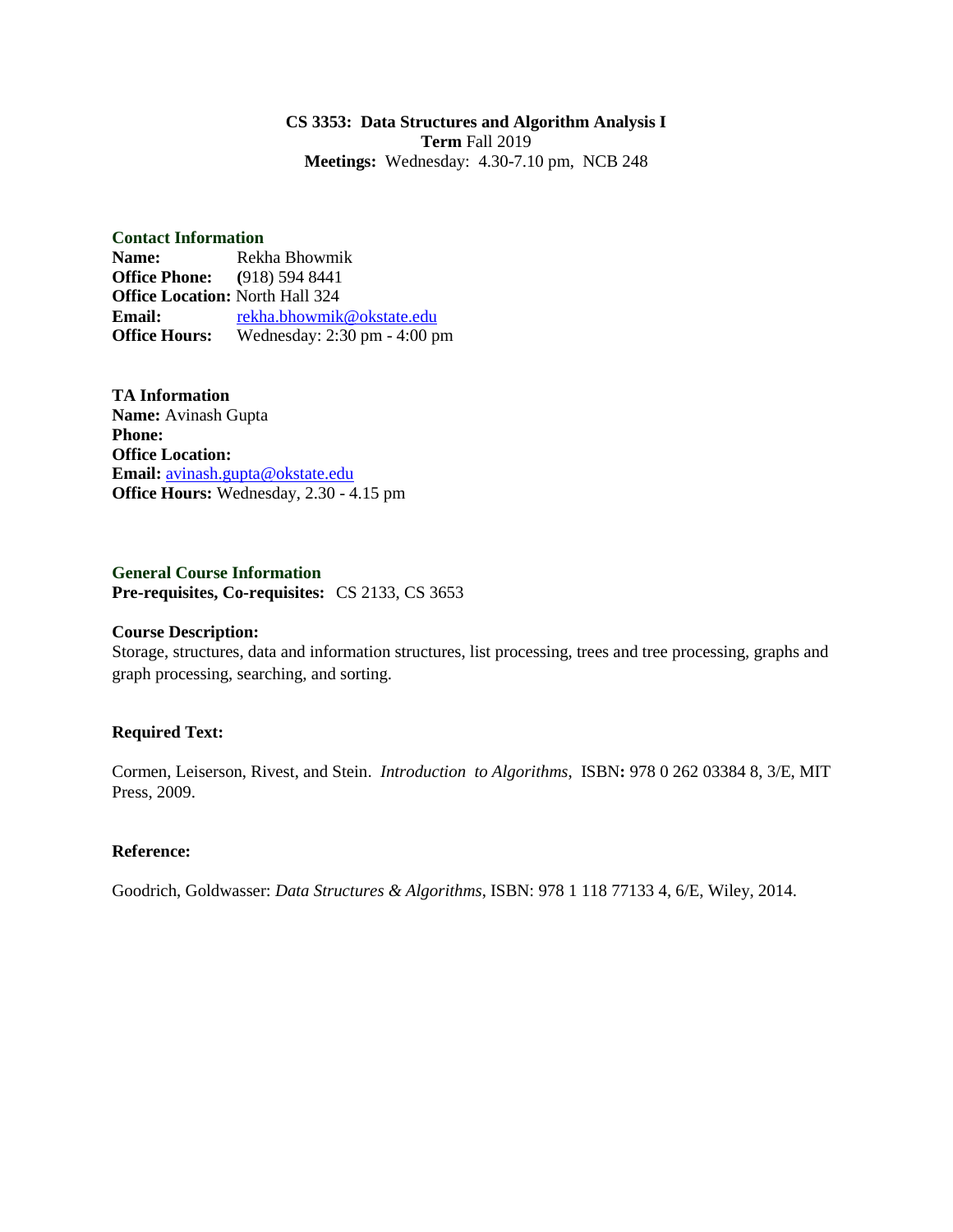#### **CS 3353: Data Structures and Algorithm Analysis I Term** Fall 2019 **Meetings:** Wednesday: 4.30-7.10 pm, NCB 248

#### **Contact Information**

**Name:** Rekha Bhowmik **Office Phone: (**918) 594 8441 **Office Location:** North Hall 324 **Email:** [rekha.bhowmik@okstate.edu](mailto:rekha.bhowmik@okstate.edu) **Office Hours:** Wednesday: 2:30 pm - 4:00 pm

**TA Information Name:** Avinash Gupta **Phone: Office Location: Email:** [avinash.gupta@okstate.edu](mailto:avinash.gupta@okstate.edu) **Office Hours:** Wednesday, 2.30 - 4.15 pm

**General Course Information Pre-requisites, Co-requisites:** CS 2133, CS 3653

#### **Course Description:**

Storage, structures, data and information structures, list processing, trees and tree processing, graphs and graph processing, searching, and sorting.

## **Required Text:**

Cormen, Leiserson, Rivest, and Stein. *Introduction to Algorithms*, ISBN**:** 978 0 262 03384 8, 3/E, MIT Press, 2009.

## **Reference:**

Goodrich, Goldwasser: *Data Structures & Algorithms*, ISBN: 978 1 118 77133 4, 6/E, Wiley, 2014.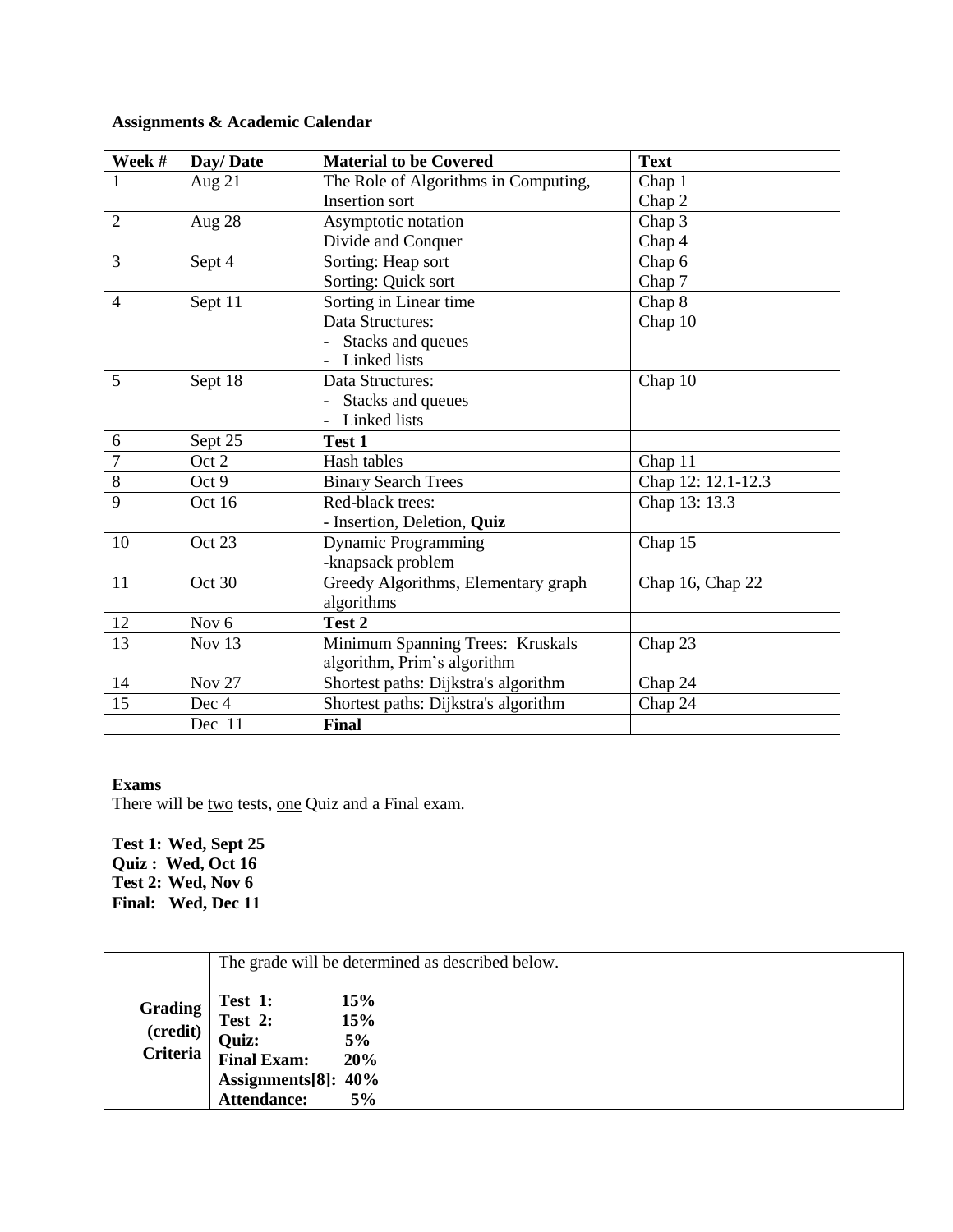# **Assignments & Academic Calendar**

| Week #         | Day/Date         | <b>Material to be Covered</b>        | <b>Text</b>        |
|----------------|------------------|--------------------------------------|--------------------|
| 1              | Aug $21$         | The Role of Algorithms in Computing, | Chap 1             |
|                |                  | <b>Insertion sort</b>                | Chap 2             |
| $\overline{2}$ | Aug 28           | Asymptotic notation                  | Chap 3             |
|                |                  | Divide and Conquer                   | Chap 4             |
| 3              | Sept 4           | Sorting: Heap sort                   | Chap 6             |
|                |                  | Sorting: Quick sort                  | Chap 7             |
| 4              | Sept 11          | Sorting in Linear time               | Chap 8             |
|                |                  | Data Structures:                     | Chap 10            |
|                |                  | Stacks and queues                    |                    |
|                |                  | Linked lists                         |                    |
| 5              | Sept 18          | Data Structures:                     | Chap 10            |
|                |                  | Stacks and queues                    |                    |
|                |                  | Linked lists                         |                    |
| 6              | Sept 25          | Test 1                               |                    |
| $\overline{7}$ | Oct 2            | Hash tables                          | Chap 11            |
| 8              | Oct 9            | <b>Binary Search Trees</b>           | Chap 12: 12.1-12.3 |
| 9              | Oct 16           | Red-black trees:                     | Chap 13: 13.3      |
|                |                  | - Insertion, Deletion, Quiz          |                    |
| 10             | Oct 23           | <b>Dynamic Programming</b>           | Chap 15            |
|                |                  | -knapsack problem                    |                    |
| 11             | Oct 30           | Greedy Algorithms, Elementary graph  | Chap 16, Chap 22   |
|                |                  | algorithms                           |                    |
| 12             | Nov <sub>6</sub> | Test 2                               |                    |
| 13             | Nov $13$         | Minimum Spanning Trees: Kruskals     | Chap 23            |
|                |                  | algorithm, Prim's algorithm          |                    |
| 14             | <b>Nov 27</b>    | Shortest paths: Dijkstra's algorithm | Chap 24            |
| 15             | Dec 4            | Shortest paths: Dijkstra's algorithm | Chap 24            |
|                | Dec 11           | <b>Final</b>                         |                    |

## **Exams**

There will be two tests, one Quiz and a Final exam.

**Test 1: Wed, Sept 25 Quiz : Wed, Oct 16 Test 2: Wed, Nov 6 Final: Wed, Dec 11**

|                                               | The grade will be determined as described below.                                               |                               |  |
|-----------------------------------------------|------------------------------------------------------------------------------------------------|-------------------------------|--|
| <b>Grading</b><br>(credit)<br><b>Criteria</b> | Test 1:<br>Test 2:<br><b>Quiz:</b><br><b>Final Exam:</b><br>Assignments[8]: 40%<br>Attendance: | 15%<br>15%<br>5%<br>20%<br>5% |  |